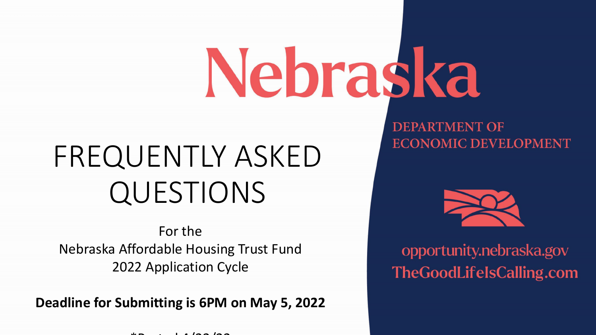# Nebraska

# FREQUENTLY ASKED QUESTIONS

For the Nebraska Affordable Housing Trust Fund 2022 Application Cycle

**Deadline for Submitting is 6PM on May 5, 2022**

 $\theta$  t d  $\theta$  and  $\theta$  to  $\theta$  and  $\theta$ 

**DEPARTMENT OF ECONOMIC DEVELOPMENT** 



opportunity.nebraska.gov **TheGoodLifelsCalling.com**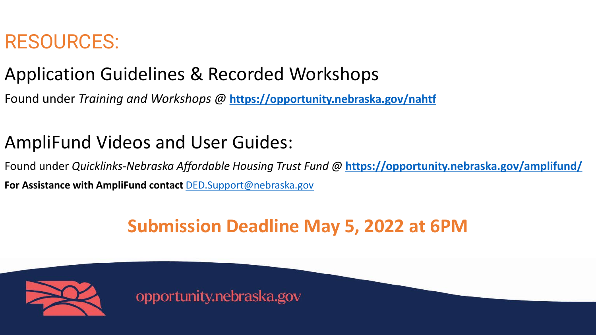# RESOURCES:

# Application Guidelines & Recorded Workshops

Found under *Training and Workshops @* **<https://opportunity.nebraska.gov/nahtf>**

## AmpliFund Videos and User Guides:

Found under *Quicklinks-Nebraska Affordable Housing Trust Fund @* **<https://opportunity.nebraska.gov/amplifund/> For Assistance with AmpliFund contact** [DED.Support@nebraska.gov](mailto:DED.Support@nebraska.gov) 

### **Submission Deadline May 5, 2022 at 6PM**

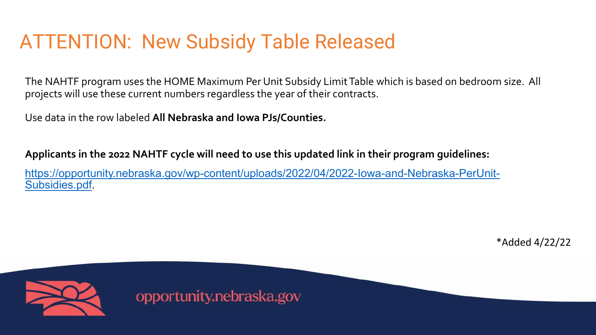# ATTENTION: New Subsidy Table Released

The NAHTF program uses the HOME Maximum Per Unit Subsidy Limit Table which is based on bedroom size. All projects will use these current numbers regardless the year of their contracts.

Use data in the row labeled **All Nebraska and Iowa PJs/Counties.**

**Applicants in the 2022 NAHTF cycle will need to use this updated link in their program guidelines:**

[https://opportunity.nebraska.gov/wp-content/uploads/2022/04/2022-Iowa-and-Nebraska-PerUnit-](https://opportunity.nebraska.gov/wp-content/uploads/2022/04/2022-Iowa-and-Nebraska-PerUnit-Subsidies.pdf)Subsidies.pdf.

\*Added 4/22/22

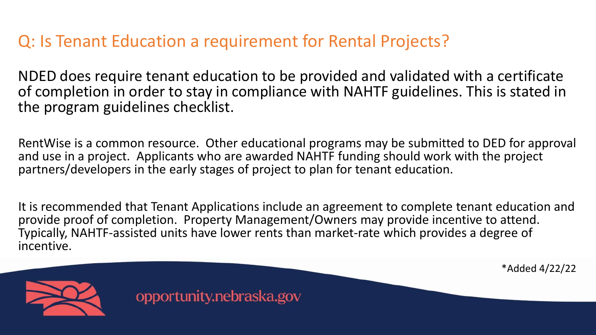#### Q: Is Tenant Education a requirement for Rental Projects?

NDED does require tenant education to be provided and validated with a certificate of completion in order to stay in compliance with NAHTF guidelines. This is stated in the program guidelines checklist.

RentWise is a common resource. Other educational programs may be submitted to DED for approval and use in a project. Applicants who are awarded NAHTF funding should work with the project partners/developers in the early stages of project to plan for tenant education.

It is recommended that Tenant Applications include an agreement to complete tenant education and provide proof of completion. Property Management/Owners may provide incentive to attend. Typically, NAHTF-assisted units have lower rents than market-rate which provides a degree of incentive.

\*Added 4/22/22

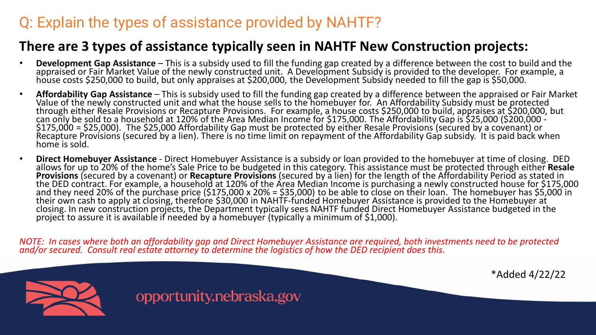#### Q: Explain the types of assistance provided by NAHTF?

#### **There are 3 types of assistance typically seen in NAHTF New Construction projects:**

- Development Gap Assistance This is a subsidy used to fill the funding gap created by a difference between the cost to build and the appraised or Fair Market Value of the newly constructed unit. A Development Subsidy is p
- **Affordability Gap Assistance** This is subsidy used to fill the funding gap created by a difference between the appraised or Fair Market Value of the newly constructed unit and what the house sells to the homebuyer for \$175,000 = \$25,000). The \$25,000 Affordability Gap must be protected by either Resale Provisions (secured by a covenant) or<br>Recapture Provisions (secured by a lien). There is no time limit on repayment of the Affordability home is sold.
- Direct Homebuyer Assistance Direct Homebuyer Assistance is a subsidy or loan provided to the homebuyer at time of closing. DED<br>allows for up to 20% of the home's Sale Price to be budgeted in this category. This assista **Provisions** (secured by a covenant) or **Recapture Provisions** (secured by a lién) for the length of the Affordability Period as stated in<br>the DED contract. For example, a household at 120% of the Area Median Income is pur their own cash to apply at closing, therefore \$30,000 in NAHTF-funded Homebuyer Assistance is provided to the Homebuyer at<br>closing. In new construction projects, the Department typically sees NAHTF funded Direct Homebuyer

*NOTE: In cases where both an affordability gap and Direct Homebuyer Assistance are required, both investments need to be protected and/or secured. Consult real estate attorney to determine the logistics of how the DED recipient does this.*

\*Added 4/22/22

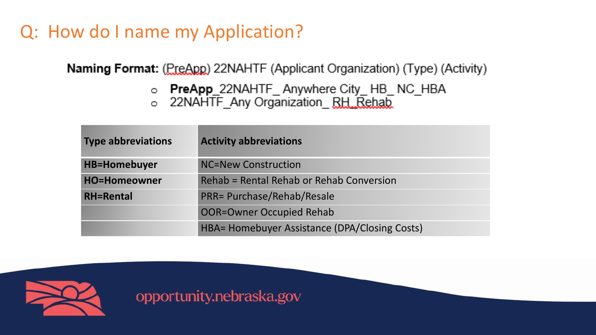# Q: How do I name my Application?

Naming Format: (PreApp) 22NAHTF (Applicant Organization) (Type) (Activity)

- **PreApp\_**22NAHTF\_ Anywhere City\_ HB\_ NC\_HBA
- o 22NAHTF Any Organization RH Rehab

| <b>Type abbreviations</b> | <b>Activity abbreviations</b>                 |  |
|---------------------------|-----------------------------------------------|--|
| <b>HB=Homebuyer</b>       | NC=New Construction                           |  |
| <b>HO=Homeowner</b>       | Rehab = Rental Rehab or Rehab Conversion      |  |
| <b>RH=Rental</b>          | <b>PRR= Purchase/Rehab/Resale</b>             |  |
|                           | OOR=Owner Occupied Rehab                      |  |
|                           | HBA= Homebuyer Assistance (DPA/Closing Costs) |  |

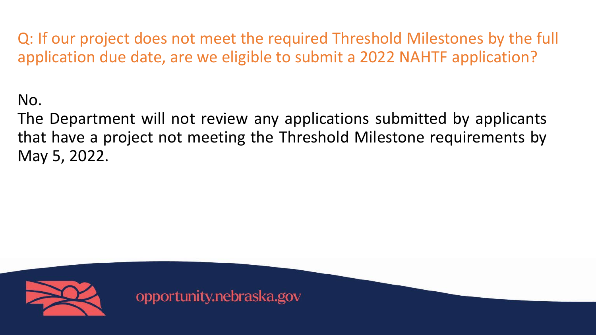Q: If our project does not meet the required Threshold Milestones by the full application due date, are we eligible to submit a 2022 NAHTF application?

No.

The Department will not review any applications submitted by applicants that have a project not meeting the Threshold Milestone requirements by May 5, 2022.

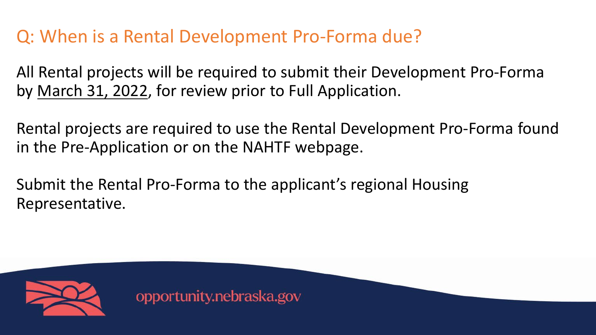# Q: When is a Rental Development Pro-Forma due?

All Rental projects will be required to submit their Development Pro-Forma by March 31, 2022, for review prior to Full Application.

Rental projects are required to use the Rental Development Pro-Forma found in the Pre-Application or on the NAHTF webpage.

Submit the Rental Pro-Forma to the applicant's regional Housing Representative.

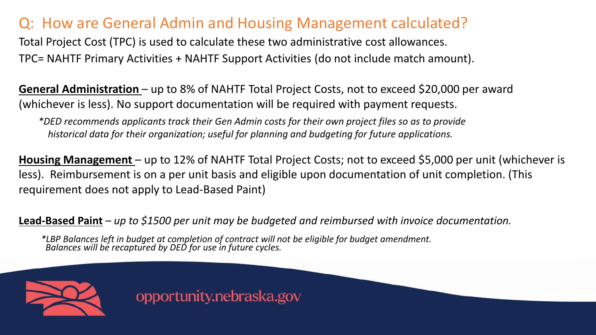#### Q: How are General Admin and Housing Management calculated?

Total Project Cost (TPC) is used to calculate these two administrative cost allowances. TPC= NAHTF Primary Activities + NAHTF Support Activities (do not include match amount).

**General Administration** – up to 8% of NAHTF Total Project Costs, not to exceed \$20,000 per award (whichever is less). No support documentation will be required with payment requests.

*\*DED recommends applicants track their Gen Admin costs for their own project files so as to provide historical data for their organization; useful for planning and budgeting for future applications.*

**Housing Management** – up to 12% of NAHTF Total Project Costs; not to exceed \$5,000 per unit (whichever is less). Reimbursement is on a per unit basis and eligible upon documentation of unit completion. (This requirement does not apply to Lead-Based Paint)

**Lead-Based Paint** *– up to \$1500 per unit may be budgeted and reimbursed with invoice documentation.*

*\*LBP Balances left in budget at completion of contract will not be eligible for budget amendment. Balances will be recaptured by DED for use in future cycles.*

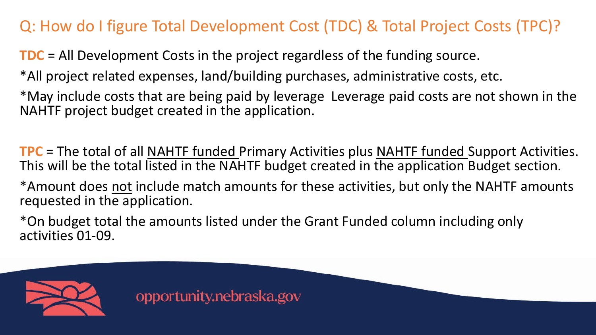#### Q: How do I figure Total Development Cost (TDC) & Total Project Costs (TPC)?

**TDC** = All Development Costs in the project regardless of the funding source.

\*All project related expenses, land/building purchases, administrative costs, etc.

\*May include costs that are being paid by leverage Leverage paid costs are not shown in the NAHTF project budget created in the application.

**TPC** = The total of all NAHTF funded Primary Activities plus NAHTF funded Support Activities. This will be the total listed in the NAHTF budget created in the application Budget section.

\*Amount does not include match amounts for these activities, but only the NAHTF amounts requested in the application.

\*On budget total the amounts listed under the Grant Funded column including only activities 01-09.

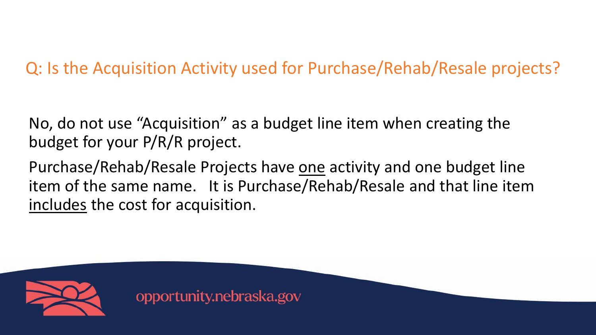### Q: Is the Acquisition Activity used for Purchase/Rehab/Resale projects?

No, do not use "Acquisition" as a budget line item when creating the budget for your P/R/R project.

Purchase/Rehab/Resale Projects have one activity and one budget line item of the same name. It is Purchase/Rehab/Resale and that line item includes the cost for acquisition.

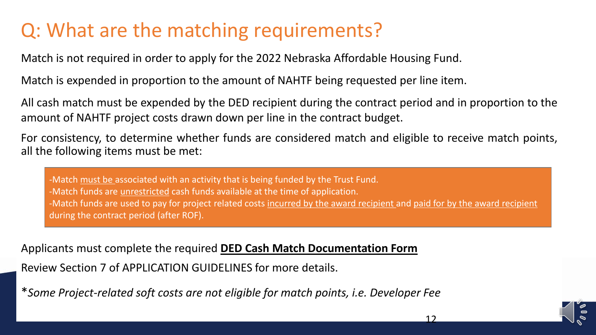# Q: What are the matching requirements?

Match is not required in order to apply for the 2022 Nebraska Affordable Housing Fund.

Match is expended in proportion to the amount of NAHTF being requested per line item.

All cash match must be expended by the DED recipient during the contract period and in proportion to the amount of NAHTF project costs drawn down per line in the contract budget.

For consistency, to determine whether funds are considered match and eligible to receive match points, all the following items must be met:

-Match must be associated with an activity that is being funded by the Trust Fund. -Match funds are unrestricted cash funds available at the time of application. -Match funds are used to pay for project related costs incurred by the award recipient and paid for by the award recipient during the contract period (after ROF).

Applicants must complete the required **DED Cash Match Documentation Form**

Review Section 7 of APPLICATION GUIDELINES for more details.

\**Some Project-related soft costs are not eligible for match points, i.e. Developer Fee* 

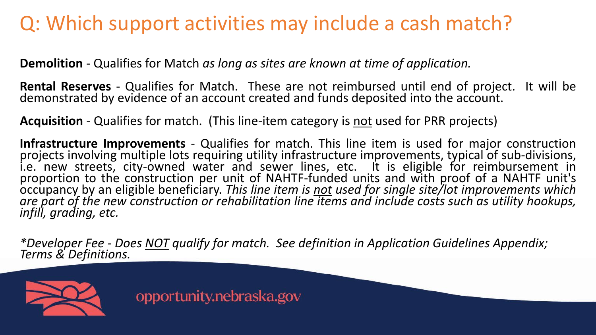# Q: Which support activities may include a cash match?

**Demolition** - Qualifies for Match *as long as sites are known at time of application.*

**Rental Reserves** - Qualifies for Match. These are not reimbursed until end of project. It will be demonstrated by evidence of an account created and funds deposited into the account.

**Acquisition** - Qualifies for match. (This line-item category is not used for PRR projects)

**Infrastructure Improvements** - Qualifies for match. This line item is used for major construction projects involving multiple lots requiring utility infrastructure improvements, typical of sub-divisions, i.e. new streets, city-owned water and sewer lines, etc. It is eligible for reimbursement in proportion to the construction per unit of NAHTF-funded units and with proof of a NAHTF unit's occupancy by an eligible beneficiary. *This line item is not used for single site/lot improvements which* are part of the new construction or rehabilitation line items and include costs such as utility hookups,<br>infill, grading, etc.

*\*Developer Fee - Does NOT qualify for match. See definition in Application Guidelines Appendix; Terms & Definitions.*

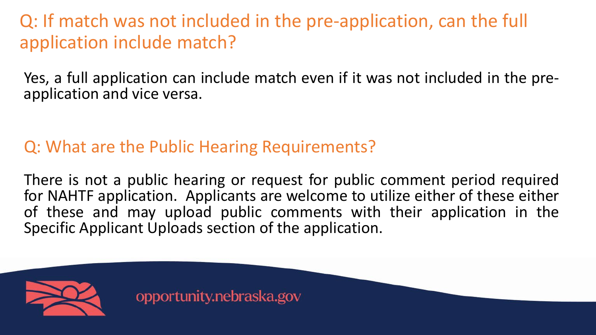Q: If match was not included in the pre-application, can the full application include match?

Yes, a full application can include match even if it was not included in the pre-<br>application and vice versa.

### Q: What are the Public Hearing Requirements?

There is not a public hearing or request for public comment period required for NAHTF application. Applicants are welcome to utilize either of these either of these and may upload public comments with their application in the Specific Applicant Uploads section of the application.

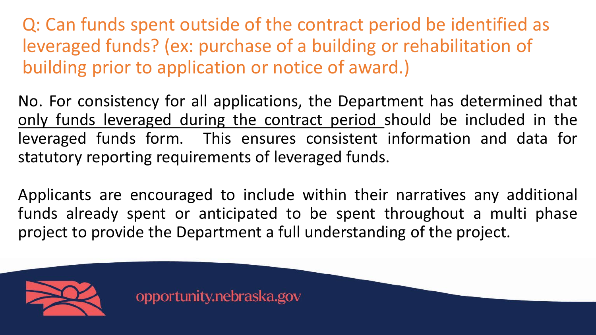Q: Can funds spent outside of the contract period be identified as leveraged funds? (ex: purchase of a building or rehabilitation of building prior to application or notice of award.)

No. For consistency for all applications, the Department has determined that only funds leveraged during the contract period should be included in the leveraged funds form. This ensures consistent information and data for statutory reporting requirements of leveraged funds.

Applicants are encouraged to include within their narratives any additional funds already spent or anticipated to be spent throughout a multi phase project to provide the Department a full understanding of the project.

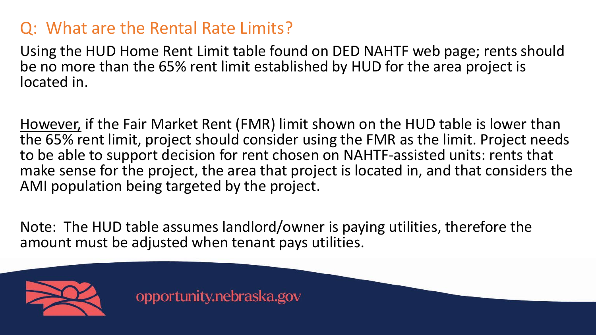#### Q: What are the Rental Rate Limits?

Using the HUD Home Rent Limit table found on DED NAHTF web page; rents should be no more than the 65% rent limit established by HUD for the area project is located in.

However, if the Fair Market Rent (FMR) limit shown on the HUD table is lower than the 65% rent limit, project should consider using the FMR as the limit. Project needs to be able to support decision for rent chosen on NAHTF-assisted units: rents that make sense for the project, the area that project is located in, and that considers the AMI population being targeted by the project.

Note: The HUD table assumes landlord/owner is paying utilities, therefore the amount must be adjusted when tenant pays utilities.

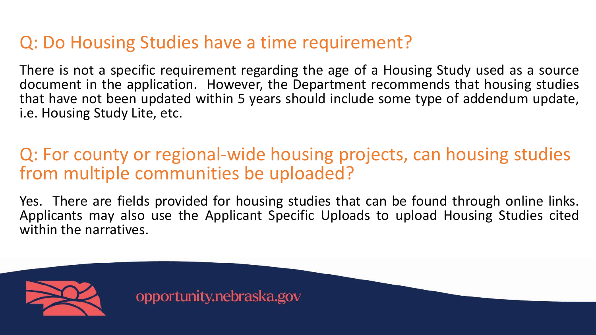### Q: Do Housing Studies have a time requirement?

There is not a specific requirement regarding the age of a Housing Study used as a source document in the application. However, the Department recommends that housing studies that have not been updated within 5 years should include some type of addendum update, i.e. Housing Study Lite, etc.

#### Q: For county or regional-wide housing projects, can housing studies from multiple communities be uploaded?

Yes. There are fields provided for housing studies that can be found through online links.<br>Applicants may also use the Applicant Specific Uploads to upload Housing Studies cited within the narratives.

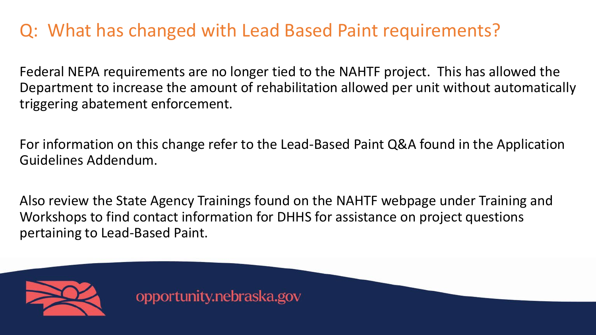## Q: What has changed with Lead Based Paint requirements?

Federal NEPA requirements are no longer tied to the NAHTF project. This has allowed the Department to increase the amount of rehabilitation allowed per unit without automatically triggering abatement enforcement.

For information on this change refer to the Lead-Based Paint Q&A found in the Application Guidelines Addendum.

Also review the State Agency Trainings found on the NAHTF webpage under Training and Workshops to find contact information for DHHS for assistance on project questions pertaining to Lead-Based Paint.

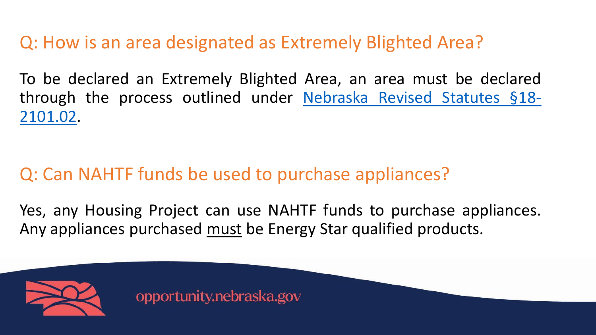Q: How is an area designated as Extremely Blighted Area?

To be declared an Extremely Blighted Area, an area must be declared through the process outlined under [Nebraska](https://nebraskalegislature.gov/laws/statutes.php?statute=18-2101.02) Revised Statutes §18- 2101.02.

# Q: Can NAHTF funds be used to purchase appliances?

Yes, any Housing Project can use NAHTF funds to purchase appliances. Any appliances purchased must be Energy Star qualified products.

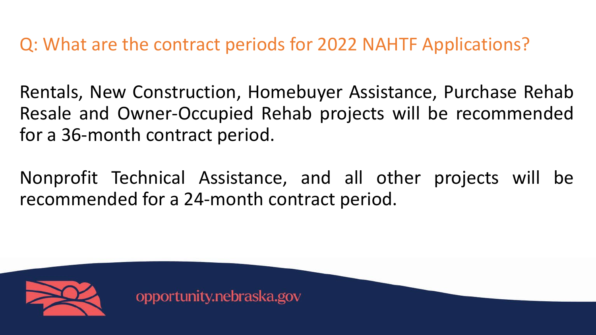Q: What are the contract periods for 2022 NAHTF Applications?

Rentals, New Construction, Homebuyer Assistance, Purchase Rehab Resale and Owner-Occupied Rehab projects will be recommended for a 36-month contract period.

Nonprofit Technical Assistance, and all other projects will be recommended for a 24-month contract period.

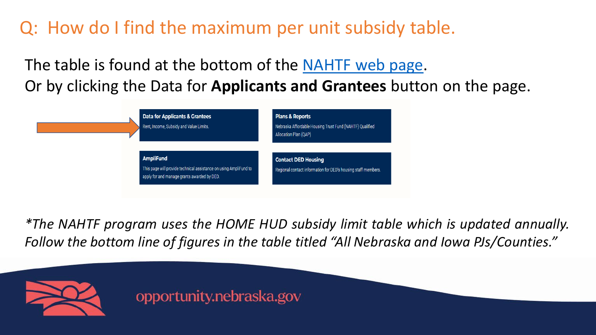Q: How do I find the maximum per unit subsidy table.

The table is found at the bottom of the [NAHTF](https://opportunity.nebraska.gov/programs/housing/nahtf/) web page. Or by clicking the Data for **Applicants and Grantees** button on the page.



*\*The NAHTF program uses the HOME HUD subsidy limit table which is updated annually. Follow the bottom line of figures in the table titled "All Nebraska and Iowa PJs/Counties."*

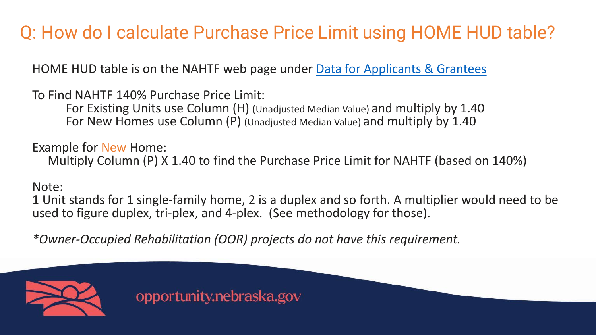# Q: How do I calculate Purchase Price Limit using HOME HUD table?

HOME HUD table is on the NAHTF web page under **[Data for Applicants & Grantees](https://opportunity.nebraska.gov/programs/housing/nahtf/)** 

To Find NAHTF 140% Purchase Price Limit:

For Existing Units use Column (H) (Unadjusted Median Value) and multiply by 1.40 For New Homes use Column (P) (Unadjusted Median Value) and multiply by 1.40

Example for New Home:

Multiply Column (P) X 1.40 to find the Purchase Price Limit for NAHTF (based on 140%)

#### Note:

1 Unit stands for 1 single-family home, 2 is a duplex and so forth. A multiplier would need to be used to figure duplex, tri-plex, and 4-plex. (See methodology for those).

*\*Owner-Occupied Rehabilitation (OOR) projects do not have this requirement.*

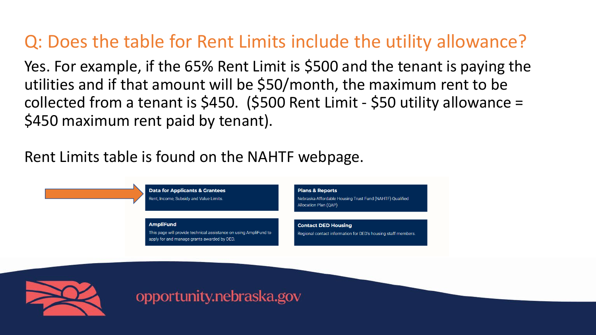## Q: Does the table for Rent Limits include the utility allowance?

Yes. For example, if the 65% Rent Limit is \$500 and the tenant is paying the utilities and if that amount will be \$50/month, the maximum rent to be collected from a tenant is \$450. (\$500 Rent Limit - \$50 utility allowance = \$450 maximum rent paid by tenant).

#### Rent Limits table is found on the NAHTF webpage.



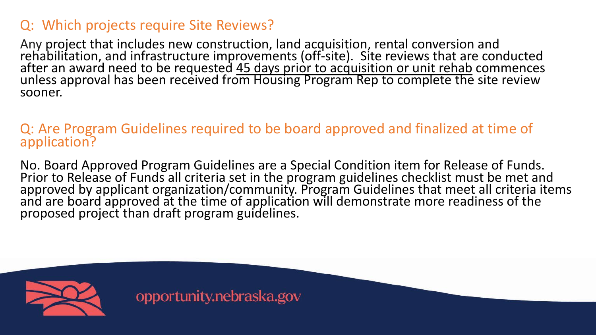#### Q: Which projects require Site Reviews?

Any project that includes new construction, land acquisition, rental conversion and<br>rehabilitation, and infrastructure improvements (off-site). Site reviews that are conducted<br>after an award need to be requested <u>45 days p</u> unless approval has been received from Housing Program Rep to complete the site review sooner.

#### Q: Are Program Guidelines required to be board approved and finalized at time of application?

No. Board Approved Program Guidelines are a Special Condition item for Release of Funds. Prior to Release of Funds all criteria set in the program guidelines checklist must be met and approved by applicant organization/community. Program Guidelines that meet all criteria items and are board approved at the time of application will demonstrate more readiness of the proposed project than draft program guidelines.

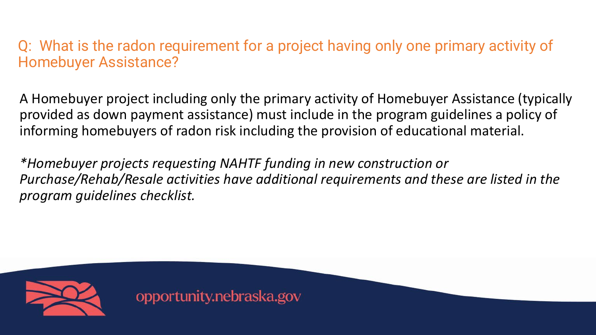Q: What is the radon requirement for a project having only one primary activity of Homebuyer Assistance?

A Homebuyer project including only the primary activity of Homebuyer Assistance (typically provided as down payment assistance) must include in the program guidelines a policy of informing homebuyers of radon risk including the provision of educational material.

*\*Homebuyer projects requesting NAHTF funding in new construction or Purchase/Rehab/Resale activities have additional requirements and these are listed in the program guidelines checklist.*

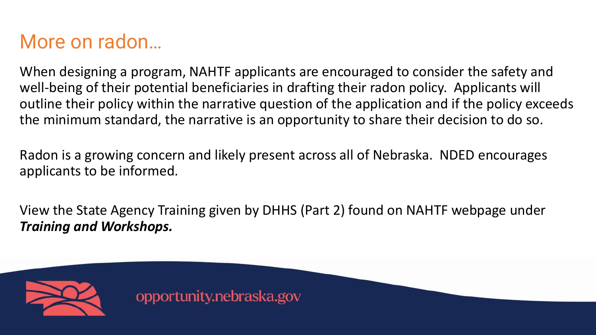# More on radon…

When designing a program, NAHTF applicants are encouraged to consider the safety and well-being of their potential beneficiaries in drafting their radon policy. Applicants will outline their policy within the narrative question of the application and if the policy exceeds the minimum standard, the narrative is an opportunity to share their decision to do so.

Radon is a growing concern and likely present across all of Nebraska. NDED encourages applicants to be informed.

View the State Agency Training given by DHHS (Part 2) found on NAHTF webpage under *Training and Workshops.*

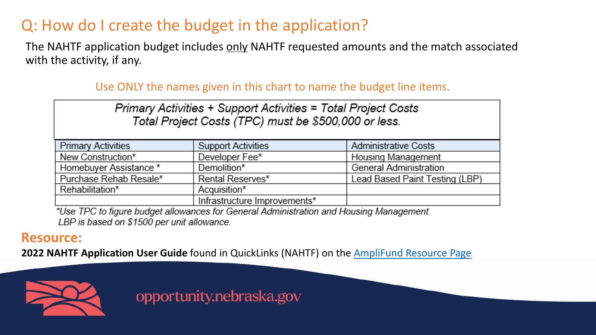#### Q: How do I create the budget in the application?

The NAHTF application budget includes only NAHTF requested amounts and the match associated with the activity, if any.

#### Use ONLY the names given in this chart to name the budget line items.

Primary Activities + Support Activities = Total Project Costs Total Project Costs (TPC) must be \$500,000 or less.

| <b>Primary Activities</b> | Support Activities           | <b>Administrative Costs</b>    |
|---------------------------|------------------------------|--------------------------------|
| New Construction*         | Developer Fee*               | Housing Management             |
| Homebuyer Assistance *    | Demolition*                  | General Administration         |
| Purchase Rehab Resale*    | Rental Reserves*             | Lead Based Paint Testing (LBP) |
| Rehabilitation*           | Acquisition*                 |                                |
|                           | Infrastructure Improvements* |                                |

\*Use TPC to figure budget allowances for General Administration and Housing Management. LBP is based on \$1500 per unit allowance.

#### **Resource:**

**2022 NAHTF Application User Guide** found in QuickLinks (NAHTF) on the [AmpliFund Resource Page](https://opportunity.nebraska.gov/programs/amplifund/)

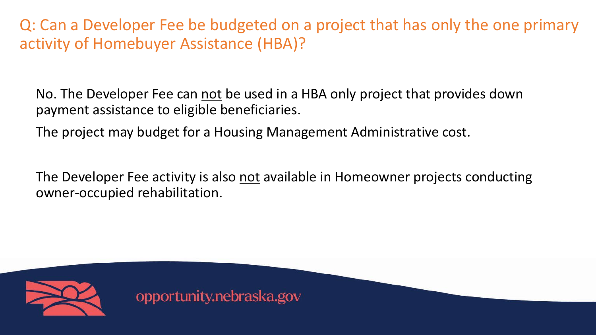Q: Can a Developer Fee be budgeted on a project that has only the one primary activity of Homebuyer Assistance (HBA)?

No. The Developer Fee can not be used in a HBA only project that provides down payment assistance to eligible beneficiaries.

The project may budget for a Housing Management Administrative cost.

The Developer Fee activity is also not available in Homeowner projects conducting owner-occupied rehabilitation.

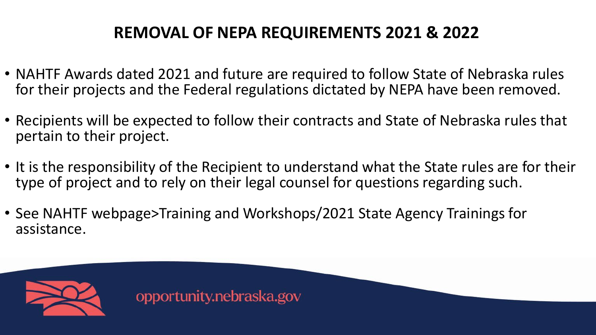#### **REMOVAL OF NEPA REQUIREMENTS 2021 & 2022**

- NAHTF Awards dated 2021 and future are required to follow State of Nebraska rules for their projects and the Federal regulations dictated by NEPA have been removed.
- Recipients will be expected to follow their contracts and State of Nebraska rules that pertain to their project.
- It is the responsibility of the Recipient to understand what the State rules are for their type of project and to rely on their legal counsel for questions regarding such.
- See NAHTF webpage>Training and Workshops/2021 State Agency Trainings for assistance.

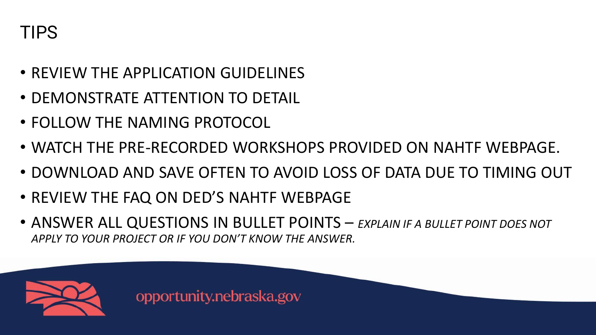# TIPS

- REVIEW THE APPLICATION GUIDELINES
- DEMONSTRATE ATTENTION TO DETAIL
- FOLLOW THE NAMING PROTOCOL
- WATCH THE PRE-RECORDED WORKSHOPS PROVIDED ON NAHTF WEBPAGE.
- DOWNLOAD AND SAVE OFTEN TO AVOID LOSS OF DATA DUE TO TIMING OUT
- REVIEW THE FAQ ON DED'S NAHTF WEBPAGE
- ANSWER ALL QUESTIONS IN BULLET POINTS *EXPLAIN IF A BULLET POINT DOES NOT APPLY TO YOUR PROJECT OR IF YOU DON'T KNOW THE ANSWER.*

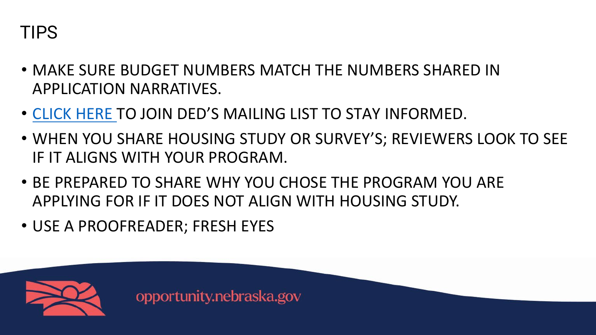

- MAKE SURE BUDGET NUMBERS MATCH THE NUMBERS SHARED IN APPLICATION NARRATIVES.
- [CLICK HERE](https://nebraska.us6.list-manage.com/subscribe?u=a27da2a66c6ea0c3e288a8400&id=9d180b460f) TO JOIN DED'S MAILING LIST TO STAY INFORMED.
- WHEN YOU SHARE HOUSING STUDY OR SURVEY'S; REVIEWERS LOOK TO SEE IF IT ALIGNS WITH YOUR PROGRAM.
- BE PREPARED TO SHARE WHY YOU CHOSE THE PROGRAM YOU ARE APPLYING FOR IF IT DOES NOT ALIGN WITH HOUSING STUDY.
- USE A PROOFREADER; FRESH EYES